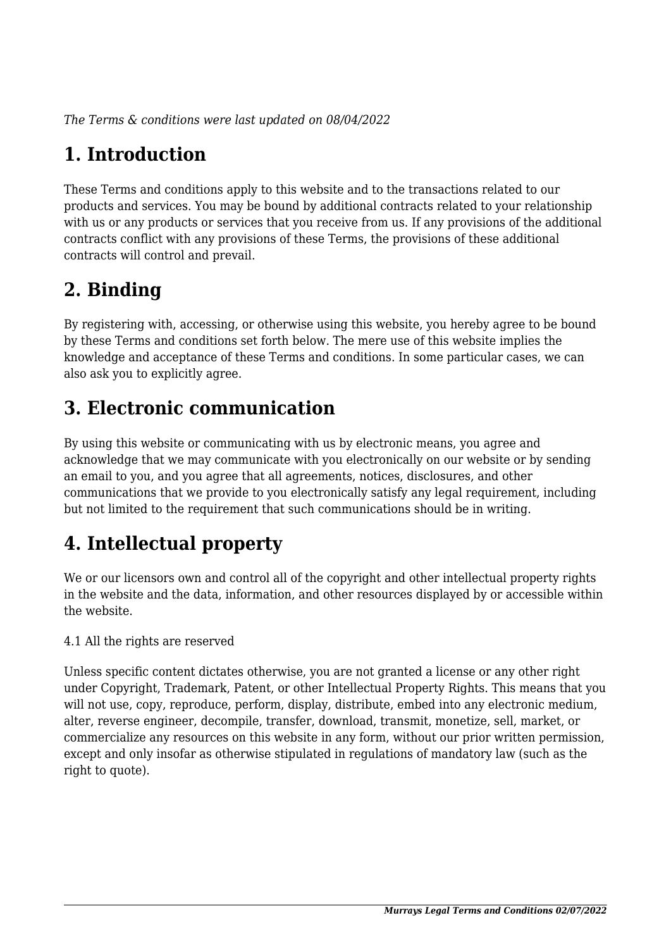*The Terms & conditions were last updated on 08/04/2022*

# **1. Introduction**

These Terms and conditions apply to this website and to the transactions related to our products and services. You may be bound by additional contracts related to your relationship with us or any products or services that you receive from us. If any provisions of the additional contracts conflict with any provisions of these Terms, the provisions of these additional contracts will control and prevail.

# **2. Binding**

By registering with, accessing, or otherwise using this website, you hereby agree to be bound by these Terms and conditions set forth below. The mere use of this website implies the knowledge and acceptance of these Terms and conditions. In some particular cases, we can also ask you to explicitly agree.

# **3. Electronic communication**

By using this website or communicating with us by electronic means, you agree and acknowledge that we may communicate with you electronically on our website or by sending an email to you, and you agree that all agreements, notices, disclosures, and other communications that we provide to you electronically satisfy any legal requirement, including but not limited to the requirement that such communications should be in writing.

# **4. Intellectual property**

We or our licensors own and control all of the copyright and other intellectual property rights in the website and the data, information, and other resources displayed by or accessible within the website.

4.1 All the rights are reserved

Unless specific content dictates otherwise, you are not granted a license or any other right under Copyright, Trademark, Patent, or other Intellectual Property Rights. This means that you will not use, copy, reproduce, perform, display, distribute, embed into any electronic medium, alter, reverse engineer, decompile, transfer, download, transmit, monetize, sell, market, or commercialize any resources on this website in any form, without our prior written permission, except and only insofar as otherwise stipulated in regulations of mandatory law (such as the right to quote).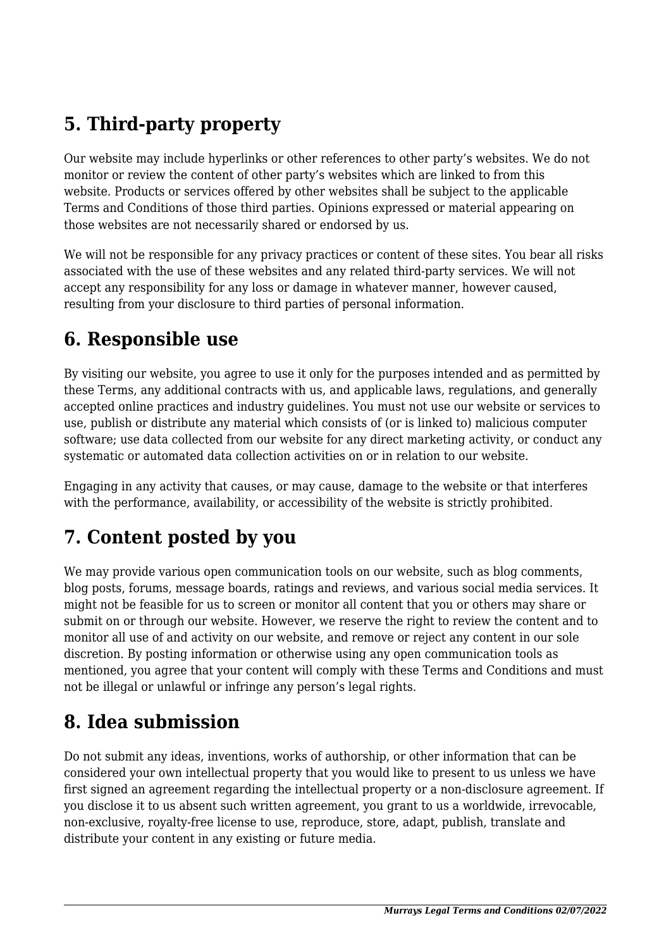# **5. Third-party property**

Our website may include hyperlinks or other references to other party's websites. We do not monitor or review the content of other party's websites which are linked to from this website. Products or services offered by other websites shall be subject to the applicable Terms and Conditions of those third parties. Opinions expressed or material appearing on those websites are not necessarily shared or endorsed by us.

We will not be responsible for any privacy practices or content of these sites. You bear all risks associated with the use of these websites and any related third-party services. We will not accept any responsibility for any loss or damage in whatever manner, however caused, resulting from your disclosure to third parties of personal information.

#### **6. Responsible use**

By visiting our website, you agree to use it only for the purposes intended and as permitted by these Terms, any additional contracts with us, and applicable laws, regulations, and generally accepted online practices and industry guidelines. You must not use our website or services to use, publish or distribute any material which consists of (or is linked to) malicious computer software; use data collected from our website for any direct marketing activity, or conduct any systematic or automated data collection activities on or in relation to our website.

Engaging in any activity that causes, or may cause, damage to the website or that interferes with the performance, availability, or accessibility of the website is strictly prohibited.

## **7. Content posted by you**

We may provide various open communication tools on our website, such as blog comments, blog posts, forums, message boards, ratings and reviews, and various social media services. It might not be feasible for us to screen or monitor all content that you or others may share or submit on or through our website. However, we reserve the right to review the content and to monitor all use of and activity on our website, and remove or reject any content in our sole discretion. By posting information or otherwise using any open communication tools as mentioned, you agree that your content will comply with these Terms and Conditions and must not be illegal or unlawful or infringe any person's legal rights.

#### **8. Idea submission**

Do not submit any ideas, inventions, works of authorship, or other information that can be considered your own intellectual property that you would like to present to us unless we have first signed an agreement regarding the intellectual property or a non-disclosure agreement. If you disclose it to us absent such written agreement, you grant to us a worldwide, irrevocable, non-exclusive, royalty-free license to use, reproduce, store, adapt, publish, translate and distribute your content in any existing or future media.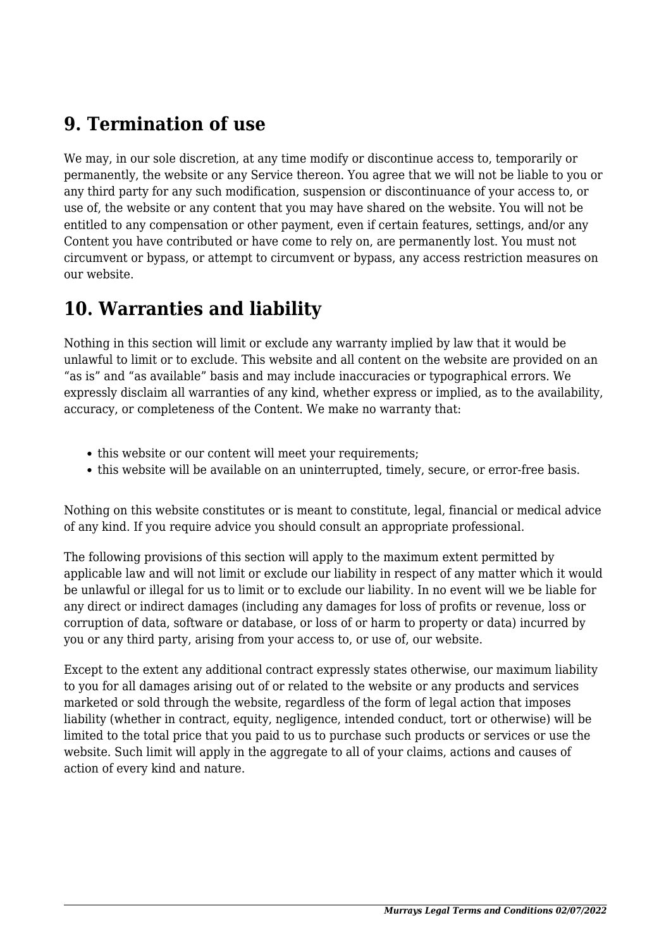#### **9. Termination of use**

We may, in our sole discretion, at any time modify or discontinue access to, temporarily or permanently, the website or any Service thereon. You agree that we will not be liable to you or any third party for any such modification, suspension or discontinuance of your access to, or use of, the website or any content that you may have shared on the website. You will not be entitled to any compensation or other payment, even if certain features, settings, and/or any Content you have contributed or have come to rely on, are permanently lost. You must not circumvent or bypass, or attempt to circumvent or bypass, any access restriction measures on our website.

#### **10. Warranties and liability**

Nothing in this section will limit or exclude any warranty implied by law that it would be unlawful to limit or to exclude. This website and all content on the website are provided on an "as is" and "as available" basis and may include inaccuracies or typographical errors. We expressly disclaim all warranties of any kind, whether express or implied, as to the availability, accuracy, or completeness of the Content. We make no warranty that:

- this website or our content will meet your requirements;
- this website will be available on an uninterrupted, timely, secure, or error-free basis.

Nothing on this website constitutes or is meant to constitute, legal, financial or medical advice of any kind. If you require advice you should consult an appropriate professional.

The following provisions of this section will apply to the maximum extent permitted by applicable law and will not limit or exclude our liability in respect of any matter which it would be unlawful or illegal for us to limit or to exclude our liability. In no event will we be liable for any direct or indirect damages (including any damages for loss of profits or revenue, loss or corruption of data, software or database, or loss of or harm to property or data) incurred by you or any third party, arising from your access to, or use of, our website.

Except to the extent any additional contract expressly states otherwise, our maximum liability to you for all damages arising out of or related to the website or any products and services marketed or sold through the website, regardless of the form of legal action that imposes liability (whether in contract, equity, negligence, intended conduct, tort or otherwise) will be limited to the total price that you paid to us to purchase such products or services or use the website. Such limit will apply in the aggregate to all of your claims, actions and causes of action of every kind and nature.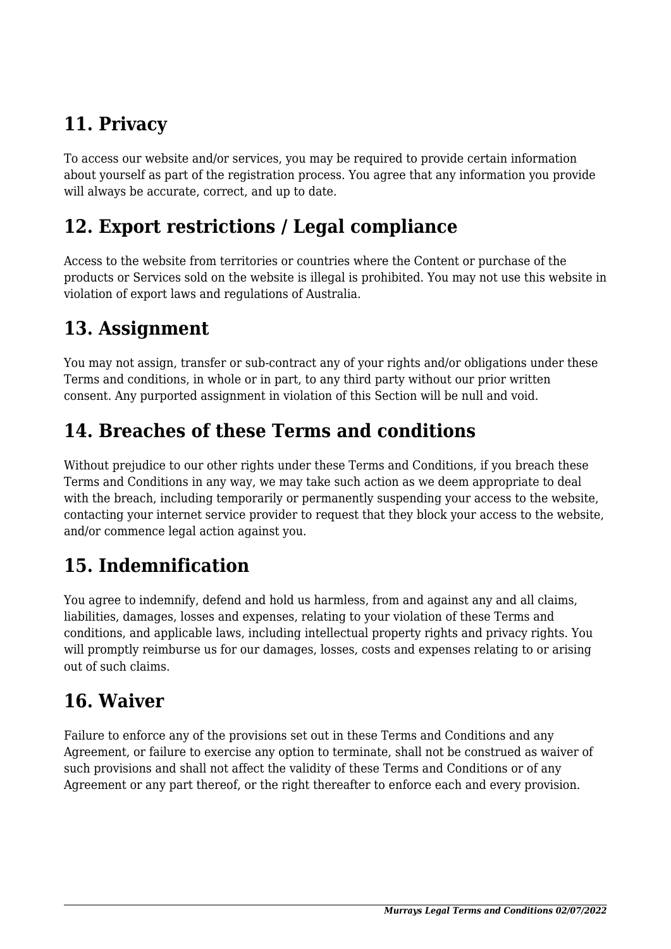# **11. Privacy**

To access our website and/or services, you may be required to provide certain information about yourself as part of the registration process. You agree that any information you provide will always be accurate, correct, and up to date.

#### **12. Export restrictions / Legal compliance**

Access to the website from territories or countries where the Content or purchase of the products or Services sold on the website is illegal is prohibited. You may not use this website in violation of export laws and regulations of Australia.

#### **13. Assignment**

You may not assign, transfer or sub-contract any of your rights and/or obligations under these Terms and conditions, in whole or in part, to any third party without our prior written consent. Any purported assignment in violation of this Section will be null and void.

## **14. Breaches of these Terms and conditions**

Without prejudice to our other rights under these Terms and Conditions, if you breach these Terms and Conditions in any way, we may take such action as we deem appropriate to deal with the breach, including temporarily or permanently suspending your access to the website, contacting your internet service provider to request that they block your access to the website, and/or commence legal action against you.

#### **15. Indemnification**

You agree to indemnify, defend and hold us harmless, from and against any and all claims, liabilities, damages, losses and expenses, relating to your violation of these Terms and conditions, and applicable laws, including intellectual property rights and privacy rights. You will promptly reimburse us for our damages, losses, costs and expenses relating to or arising out of such claims.

#### **16. Waiver**

Failure to enforce any of the provisions set out in these Terms and Conditions and any Agreement, or failure to exercise any option to terminate, shall not be construed as waiver of such provisions and shall not affect the validity of these Terms and Conditions or of any Agreement or any part thereof, or the right thereafter to enforce each and every provision.